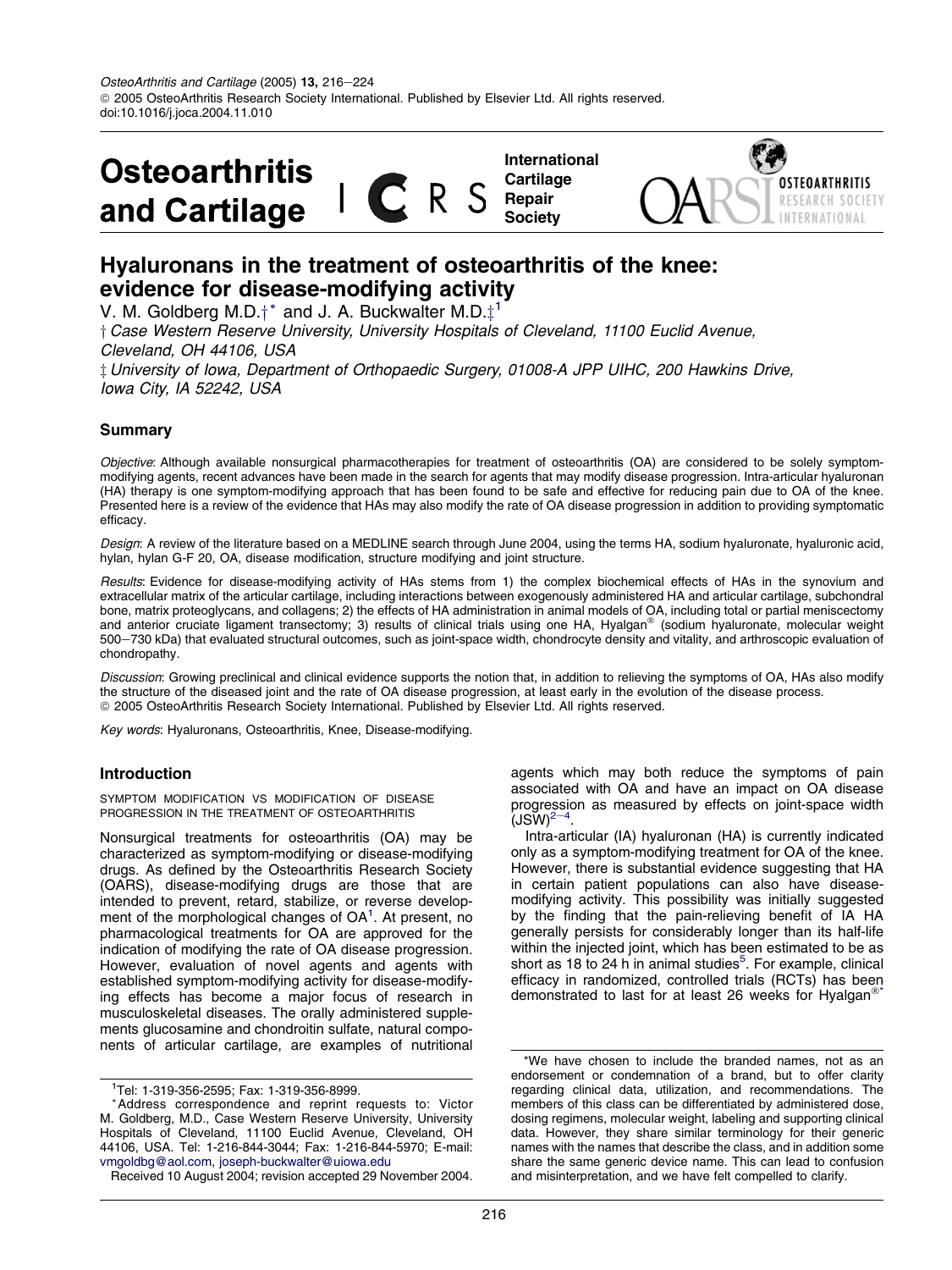

# Hyaluronans in the treatment of osteoarthritis of the knee: evidence for disease-modifying activity

V. M. Goldberg M.D. $\dagger^*$  and J. A. Buckwalter M.D. $\ddagger^1$ y Case Western Reserve University, University Hospitals of Cleveland, 11100 Euclid Avenue, Cleveland, OH 44106, USA  $\ddagger$  University of Iowa, Department of Orthopaedic Surgery, 01008-A JPP UIHC, 200 Hawkins Drive, Iowa City, IA 52242, USA

# **Summary**

Objective: Although available nonsurgical pharmacotherapies for treatment of osteoarthritis (OA) are considered to be solely symptommodifying agents, recent advances have been made in the search for agents that may modify disease progression. Intra-articular hyaluronan (HA) therapy is one symptom-modifying approach that has been found to be safe and effective for reducing pain due to OA of the knee. Presented here is a review of the evidence that HAs may also modify the rate of OA disease progression in addition to providing symptomatic efficacy.

Design: A review of the literature based on a MEDLINE search through June 2004, using the terms HA, sodium hyaluronate, hyaluronic acid, hylan, hylan G-F 20, OA, disease modification, structure modifying and joint structure.

Results: Evidence for disease-modifying activity of HAs stems from 1) the complex biochemical effects of HAs in the synovium and extracellular matrix of the articular cartilage, including interactions between exogenously administered HA and articular cartilage, subchondral bone, matrix proteoglycans, and collagens; 2) the effects of HA administration in animal models of OA, including total or partial meniscectomy and anterior cruciate ligament transectomy; 3) results of clinical trials using one HA, Hyalgan<sup>®</sup> (sodium hyaluronate, molecular weight) 500-730 kDa) that evaluated structural outcomes, such as joint-space width, chondrocyte density and vitality, and arthroscopic evaluation of chondropathy.

Discussion: Growing preclinical and clinical evidence supports the notion that, in addition to relieving the symptoms of OA, HAs also modify the structure of the diseased joint and the rate of OA disease progression, at least early in the evolution of the disease process. ª 2005 OsteoArthritis Research Society International. Published by Elsevier Ltd. All rights reserved.

Key words: Hyaluronans, Osteoarthritis, Knee, Disease-modifying.

## Introduction

SYMPTOM MODIFICATION VS MODIFICATION OF DISEASE PROGRESSION IN THE TREATMENT OF OSTEOARTHRITIS

Nonsurgical treatments for osteoarthritis (OA) may be characterized as symptom-modifying or disease-modifying drugs. As defined by the Osteoarthritis Research Society (OARS), disease-modifying drugs are those that are intended to prevent, retard, stabilize, or reverse develop-ment of the morphological changes of OA<sup>[1](#page-6-0)</sup>. At present, no pharmacological treatments for OA are approved for the indication of modifying the rate of OA disease progression. However, evaluation of novel agents and agents with established symptom-modifying activity for disease-modifying effects has become a major focus of research in musculoskeletal diseases. The orally administered supplements glucosamine and chondroitin sulfate, natural components of articular cartilage, are examples of nutritional agents which may both reduce the symptoms of pain associated with OA and have an impact on OA disease progr[essio](#page-6-0)n as measured by effects on joint-space width  $(JSW)^{2-4}$ .

Intra-articular (IA) hyaluronan (HA) is currently indicated only as a symptom-modifying treatment for OA of the knee. However, there is substantial evidence suggesting that HA in certain patient populations can also have diseasemodifying activity. This possibility was initially suggested by the finding that the pain-relieving benefit of IA HA generally persists for considerably longer than its half-life within the injected joint, which has been estimated to be as short as 18 to 24 h in animal studies<sup>[5](#page-6-0)</sup>. For example, clinical efficacy in randomized, controlled trials (RCTs) has been demonstrated to last for at least 26 weeks for Hyalgan<sup>®</sup>

<sup>1</sup> Tel: 1-319-356-2595; Fax: 1-319-356-8999.

<sup>\*</sup>Address correspondence and reprint requests to: Victor M. Goldberg, M.D., Case Western Reserve University, University Hospitals of Cleveland, 11100 Euclid Avenue, Cleveland, OH 44106, USA. Tel: 1-216-844-3044; Fax: 1-216-844-5970; E-mail: [vmgoldbg@aol.com](mailto:vmgoldbg@aol.com), [joseph-buckwalter@uiowa.edu](mailto:joseph-buckwalter@uiowa.edu)

Received 10 August 2004; revision accepted 29 November 2004.

<sup>\*</sup>We have chosen to include the branded names, not as an endorsement or condemnation of a brand, but to offer clarity regarding clinical data, utilization, and recommendations. The members of this class can be differentiated by administered dose, dosing regimens, molecular weight, labeling and supporting clinical data. However, they share similar terminology for their generic names with the names that describe the class, and in addition some share the same generic device name. This can lead to confusion and misinterpretation, and we have felt compelled to clarify.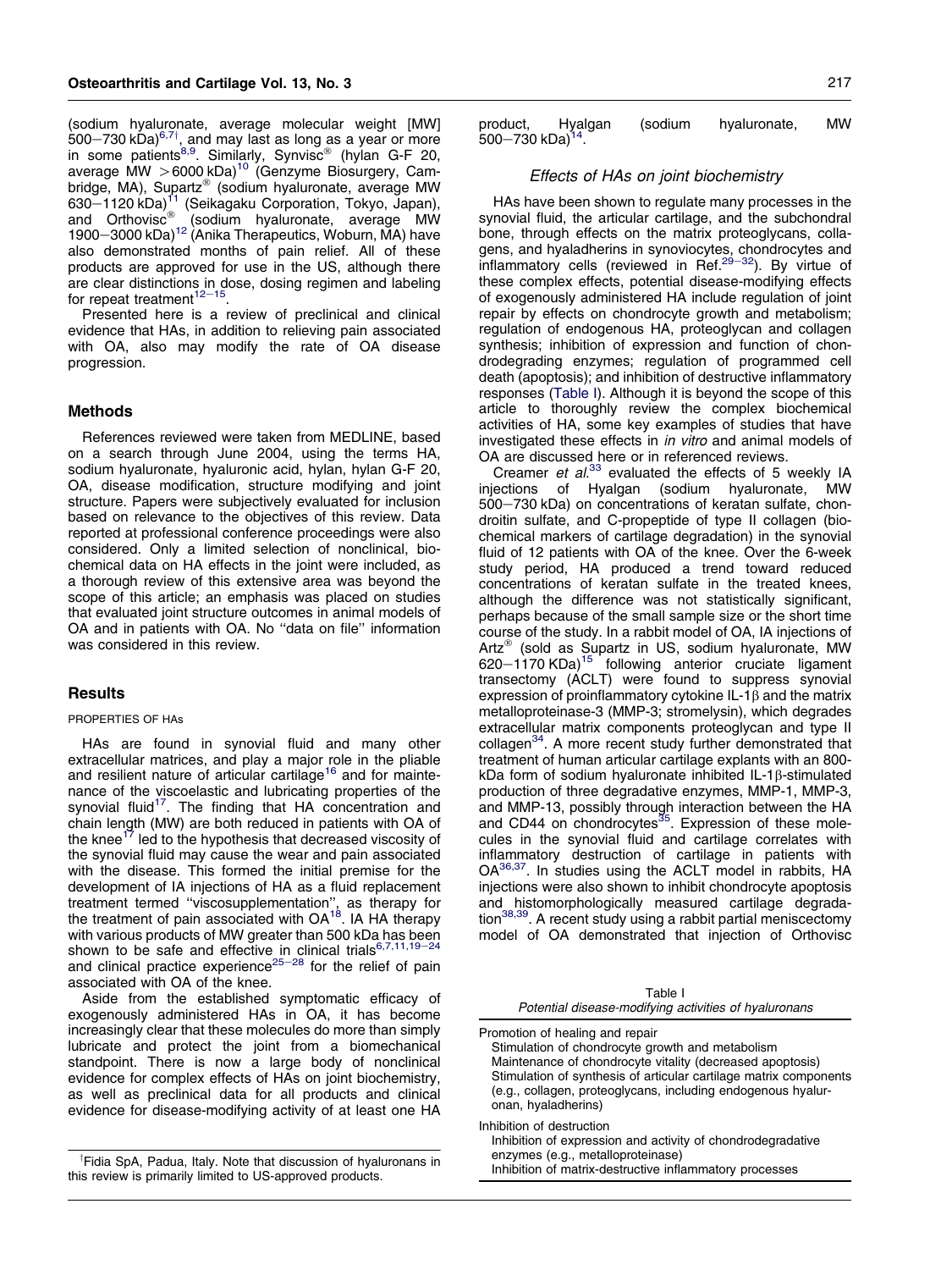(sodium hyaluronate, average molecular weight [MW]  $\mathsf{500}{-}730$  kDa) $^{\mathsf{6,7+}},$  $^{\mathsf{6,7+}},$  $^{\mathsf{6,7+}},$  and may last as long as a year or more in some patients  $8.9$ . Similarly, Synvisc<sup>®</sup> (hylan G-F 20, average MW  $>6000$  kDa)<sup>[10](#page-6-0)</sup> (Genzyme Biosurgery, Cambridge, MA), Supartz® (sodium hyaluronate, average MW 630 $-1120$  $-1120$  $-1120$  kDa)<sup>11</sup> (Seikagaku Corporation, Tokyo, Japan), and Orthovis $\acute{\text{c}}^\circ$  (sodium hyaluronate, average MW 1900e3000 kDa)[12](#page-6-0) (Anika Therapeutics, Woburn, MA) have also demonstrated months of pain relief. All of these products are approved for use in the US, although there are clear distinction[s in d](#page-6-0)ose, dosing regimen and labeling for repeat treatment $12-15$ .

Presented here is a review of preclinical and clinical evidence that HAs, in addition to relieving pain associated with OA, also may modify the rate of OA disease progression.

## Methods

References reviewed were taken from MEDLINE, based on a search through June 2004, using the terms HA, sodium hyaluronate, hyaluronic acid, hylan, hylan G-F 20, OA, disease modification, structure modifying and joint structure. Papers were subjectively evaluated for inclusion based on relevance to the objectives of this review. Data reported at professional conference proceedings were also considered. Only a limited selection of nonclinical, biochemical data on HA effects in the joint were included, as a thorough review of this extensive area was beyond the scope of this article; an emphasis was placed on studies that evaluated joint structure outcomes in animal models of OA and in patients with OA. No ''data on file'' information was considered in this review.

## **Results**

#### PROPERTIES OF HAs

HAs are found in synovial fluid and many other extracellular matrices, and play a major role in the pliable and resilient nature of articular cartilage<sup>[16](#page-6-0)</sup> and for maintenance of the viscoelastic and lubricating properties of the synovial fluid<sup>17</sup>. The finding that HA concentration and chain length (MW) are both reduced in patients with OA of the knee $17$  led to the hypothesis that decreased viscosity of the synovial fluid may cause the wear and pain associated with the disease. This formed the initial premise for the development of IA injections of HA as a fluid replacement treatment termed "viscosupplementation", as therapy for<br>the treatment of pain associated with OA<sup>18</sup>. IA HA therapy with various products of MW greater than 500 kDa has been shown to be safe and effectiv[e in c](#page-6-0)linical trials $6,7,11,19-24$  $6,7,11,19-24$ and clinical practice experience<sup>25-28</sup> for the relief of pain associated with OA of the knee.

Aside from the established symptomatic efficacy of exogenously administered HAs in OA, it has become increasingly clear that these molecules do more than simply lubricate and protect the joint from a biomechanical standpoint. There is now a large body of nonclinical evidence for complex effects of HAs on joint biochemistry, as well as preclinical data for all products and clinical evidence for disease-modifying activity of at least one HA

| product,                          | Hyalgan | (sodium | hyaluronate, | <b>MW</b> |
|-----------------------------------|---------|---------|--------------|-----------|
| .<br>500—730 kDa) <sup>14</sup> . |         |         |              |           |

#### Effects of HAs on joint biochemistry

HAs have been shown to regulate many processes in the synovial fluid, the articular cartilage, and the subchondral bone, through effects on the matrix proteoglycans, collagens, and hyaladherins in synoviocyte[s, cho](#page-6-0)ndrocytes and<br>inflammatory cells (reviewed in Ref.<sup>29–32</sup>). By virtue of these complex effects, potential disease-modifying effects of exogenously administered HA include regulation of joint repair by effects on chondrocyte growth and metabolism; regulation of endogenous HA, proteoglycan and collagen synthesis; inhibition of expression and function of chondrodegrading enzymes; regulation of programmed cell death (apoptosis); and inhibition of destructive inflammatory responses (Table I). Although it is beyond the scope of this article to thoroughly review the complex biochemical activities of HA, some key examples of studies that have investigated these effects in in vitro and animal models of OA are discussed here or in referenced reviews.

Creamer et al.[33](#page-7-0) evaluated the effects of 5 weekly IA injections of Hyalgan (sodium hyaluronate, MW 500-730 kDa) on concentrations of keratan sulfate, chondroitin sulfate, and C-propeptide of type II collagen (biochemical markers of cartilage degradation) in the synovial fluid of 12 patients with OA of the knee. Over the 6-week study period, HA produced a trend toward reduced concentrations of keratan sulfate in the treated knees, although the difference was not statistically significant, perhaps because of the small sample size or the short time course of the study. In a rabbit model of OA, IA injections of Artz<sup>®</sup> (sold as Supartz in US, sodium hyaluronate, MW  $620-1170$  KDa)<sup>15</sup> following anterior cruciate ligament transectomy (ACLT) were found to suppress synovial expression of proinflammatory cytokine  $IL-1\beta$  and the matrix metalloproteinase-3 (MMP-3; stromelysin), which degrades extracellular matrix components proteoglycan and type II collagen<sup>[34](#page-7-0)</sup>. A more recent study further demonstrated that treatment of human articular cartilage explants with an 800 kDa form of sodium hyaluronate inhibited IL-1B-stimulated production of three degradative enzymes, MMP-1, MMP-3, and MMP-13, possibly through interaction between the HA and CD44 on chondrocytes<sup>[35](#page-7-0)</sup>. Expression of these molecules in the synovial fluid and cartilage correlates with inflammatory destruction of cartilage in patients with O[A36,37](#page-7-0). In studies using the ACLT model in rabbits, HA injections were also shown to inhibit chondrocyte apoptosis and histomorphologically measured cartilage degradation[38,39.](#page-7-0) A recent study using a rabbit partial meniscectomy model of OA demonstrated that injection of Orthovisc

| Table I                                               |
|-------------------------------------------------------|
| Potential disease-modifying activities of hyaluronans |

Promotion of healing and repair

Stimulation of chondrocyte growth and metabolism Maintenance of chondrocyte vitality (decreased apoptosis) Stimulation of synthesis of articular cartilage matrix components (e.g., collagen, proteoglycans, including endogenous hyaluronan, hyaladherins)

Inhibition of destruction

Inhibition of expression and activity of chondrodegradative enzymes (e.g., metalloproteinase) Inhibition of matrix-destructive inflammatory processes

<sup>&</sup>lt;sup>†</sup>Fidia SpA, Padua, Italy. Note that discussion of hyaluronans in this review is primarily limited to US-approved products.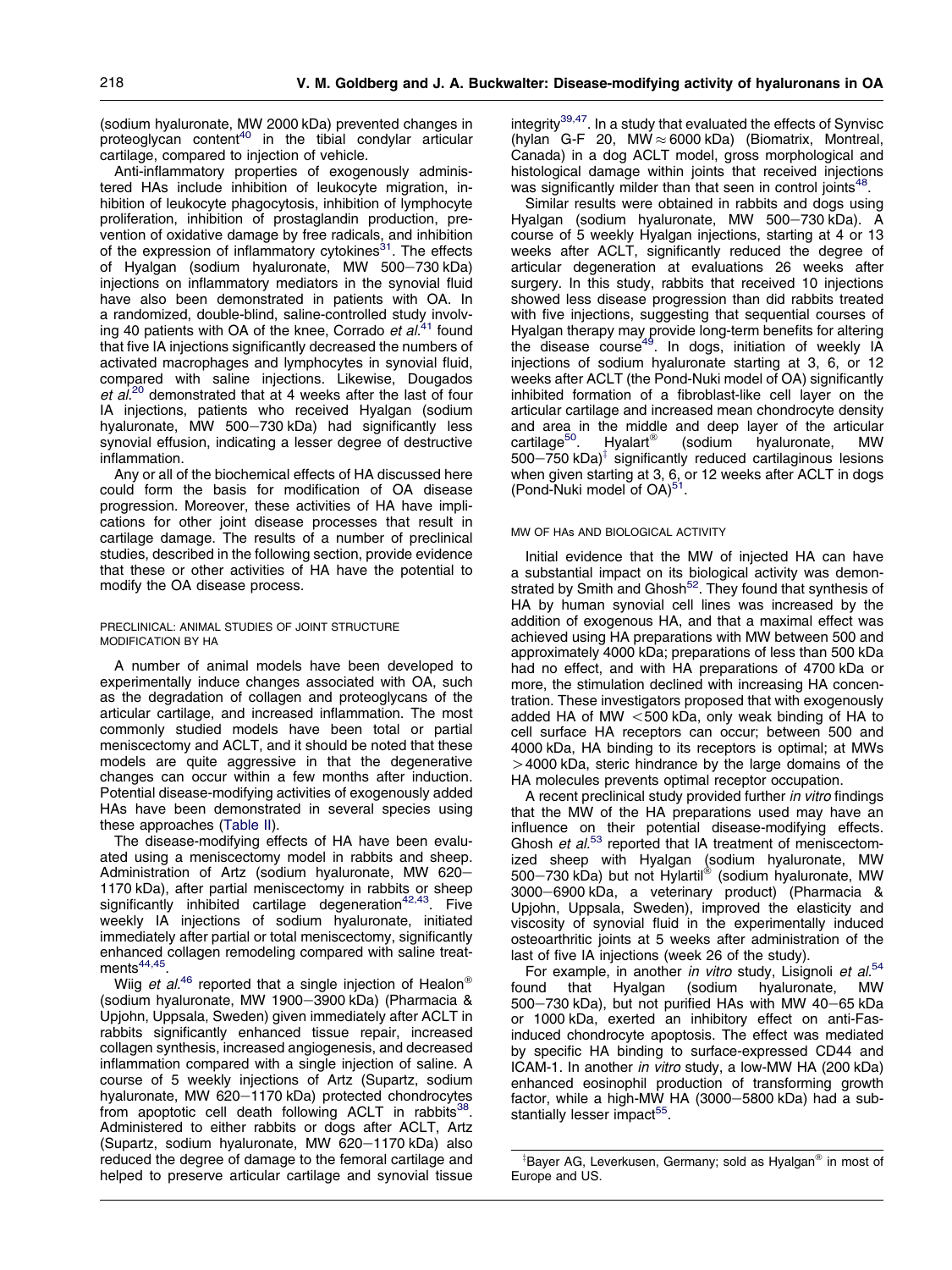(sodium hyaluronate, MW 2000 kDa) prevented changes in proteoglycan content<sup>[40](#page-7-0)</sup> in the tibial condylar articular cartilage, compared to injection of vehicle.

Anti-inflammatory properties of exogenously administered HAs include inhibition of leukocyte migration, inhibition of leukocyte phagocytosis, inhibition of lymphocyte proliferation, inhibition of prostaglandin production, prevention of oxidative damage by free radicals, and inhibition of the expression of inflammatory cytokines<sup>[31](#page-6-0)</sup>. The effects of Hyalgan (sodium hyaluronate, MW 500-730 kDa) injections on inflammatory mediators in the synovial fluid have also been demonstrated in patients with OA. In a randomized, double-blind, saline-controlled study involv-<br>ing 40 patients with OA of the knee, Corrado *et al.*<sup>[41](#page-7-0)</sup> found that five IA injections significantly decreased the numbers of activated macrophages and lymphocytes in synovial fluid, compared with saline injections. Likewise, Dougados et  $al^{20}$  $al^{20}$  $al^{20}$  demonstrated that at 4 weeks after the last of four IA injections, patients who received Hyalgan (sodium hyaluronate, MW  $500-730$  kDa) had significantly less synovial effusion, indicating a lesser degree of destructive inflammation.

Any or all of the biochemical effects of HA discussed here could form the basis for modification of OA disease progression. Moreover, these activities of HA have implications for other joint disease processes that result in cartilage damage. The results of a number of preclinical studies, described in the following section, provide evidence that these or other activities of HA have the potential to modify the OA disease process.

#### PRECLINICAL: ANIMAL STUDIES OF JOINT STRUCTURE MODIFICATION BY HA

A number of animal models have been developed to experimentally induce changes associated with OA, such as the degradation of collagen and proteoglycans of the articular cartilage, and increased inflammation. The most commonly studied models have been total or partial meniscectomy and ACLT, and it should be noted that these models are quite aggressive in that the degenerative changes can occur within a few months after induction. Potential disease-modifying activities of exogenously added HAs have been demonstrated in several species using these approaches ([Table II\)](#page-3-0).

The disease-modifying effects of HA have been evaluated using a meniscectomy model in rabbits and sheep. Administration of Artz (sodium hyaluronate, MW 620-1170 kDa), after partial meniscectomy in rabbits or sheep significantly inhibited cartilage degeneration<sup>[42,43](#page-7-0)</sup>. Five weekly IA injections of sodium hyaluronate, initiated immediately after partial or total meniscectomy, significantly enhanced collagen remodeling compared with saline treat- $ments<sup>44,45</sup>$  $ments<sup>44,45</sup>$  $ments<sup>44,45</sup>$ 

Wiig et  $al^{46}$  $al^{46}$  $al^{46}$  reported that a single injection of Healon<sup>®</sup> (sodium hyaluronate, MW 1900-3900 kDa) (Pharmacia & Upjohn, Uppsala, Sweden) given immediately after ACLT in rabbits significantly enhanced tissue repair, increased collagen synthesis, increased angiogenesis, and decreased inflammation compared with a single injection of saline. A course of 5 weekly injections of Artz (Supartz, sodium hyaluronate, MW 620-1170 kDa) protected chondrocytes from apoptotic cell death following ACLT in rabbits $^{38}$  $^{38}$  $^{38}$ . Administered to either rabbits or dogs after ACLT, Artz (Supartz, sodium hyaluronate, MW  $620-1170$  kDa) also reduced the degree of damage to the femoral cartilage and helped to preserve articular cartilage and synovial tissue

integrity<sup>[39,47](#page-7-0)</sup>. In a study that evaluated the effects of Synvisc (hylan G-F 20, MW  $\approx$  6000 kDa) (Biomatrix, Montreal, Canada) in a dog ACLT model, gross morphological and histological damage within joints that received injections was significantly milder than that seen in control joints<sup>48</sup>.

Similar results were obtained in rabbits and dogs using Hyalgan (sodium hyaluronate, MW  $500-730$  kDa). A course of 5 weekly Hyalgan injections, starting at 4 or 13 weeks after ACLT, significantly reduced the degree of articular degeneration at evaluations 26 weeks after surgery. In this study, rabbits that received 10 injections showed less disease progression than did rabbits treated with five injections, suggesting that sequential courses of Hyalgan therapy may provide long-term benefits for altering<br>the disease course<sup>[49](#page-7-0)</sup>. In dogs, initiation of weekly IA injections of sodium hyaluronate starting at 3, 6, or 12 weeks after ACLT (the Pond-Nuki model of OA) significantly inhibited formation of a fibroblast-like cell layer on the articular cartilage and increased mean chondrocyte density and area in the middle and deep layer of the articular cartilage<sup>50</sup>. Hyalart<sup>®</sup> (sodium hyaluronate, MW  $cartilage<sup>50</sup>$  Hyalart<sup>®</sup> (sodium hyaluronate, MW  $500 - 750$  kDa)<sup> $\ddagger$ </sup> significantly reduced cartilaginous lesions when given starting at 3, 6, or 12 weeks after ACLT in dogs<br>(Pond-Nuki model of OA)<sup>51</sup>.

#### MW OF HAs AND BIOLOGICAL ACTIVITY

Initial evidence that the MW of injected HA can have a substantial impact on its biological activity was demonstrated by Smith and Ghosh<sup>52</sup>. They found that synthesis of HA by human synovial cell lines was increased by the addition of exogenous HA, and that a maximal effect was achieved using HA preparations with MW between 500 and approximately 4000 kDa; preparations of less than 500 kDa had no effect, and with HA preparations of 4700 kDa or more, the stimulation declined with increasing HA concentration. These investigators proposed that with exogenously added HA of MW  $<$ 500 kDa, only weak binding of HA to cell surface HA receptors can occur; between 500 and 4000 kDa, HA binding to its receptors is optimal; at MWs  $>$  4000 kDa, steric hindrance by the large domains of the HA molecules prevents optimal receptor occupation.

A recent preclinical study provided further in vitro findings that the MW of the HA preparations used may have an influence on their potential disease-modifying effects. Ghosh et  $al^{53}$  $al^{53}$  $al^{53}$  reported that IA treatment of meniscectomized sheep with Hyalgan (sodium hyaluronate, MW 500–730 kDa) but not Hylartil<sup>®</sup> (sodium hyaluronate, MW 3000-6900 kDa, a veterinary product) (Pharmacia & Upjohn, Uppsala, Sweden), improved the elasticity and viscosity of synovial fluid in the experimentally induced osteoarthritic joints at 5 weeks after administration of the last of five IA injections (week 26 of the study).

For example, in another *in vitro* study, Lisignoli et al.<sup>[54](#page-7-0)</sup> found that Hyalgan (sodium hyaluronate, MW that Hyalgan (sodium hyaluronate, MW 500-730 kDa), but not purified HAs with MW 40-65 kDa or 1000 kDa, exerted an inhibitory effect on anti-Fasinduced chondrocyte apoptosis. The effect was mediated by specific HA binding to surface-expressed CD44 and ICAM-1. In another in vitro study, a low-MW HA (200 kDa) enhanced eosinophil production of transforming growth factor, while a high-MW HA (3000-5800 kDa) had a sub-stantially lesser impact<sup>[55](#page-7-0)</sup>.

<sup>&</sup>lt;sup>‡</sup>Bayer AG, Leverkusen, Germany; sold as Hyalgan® in most of Europe and US.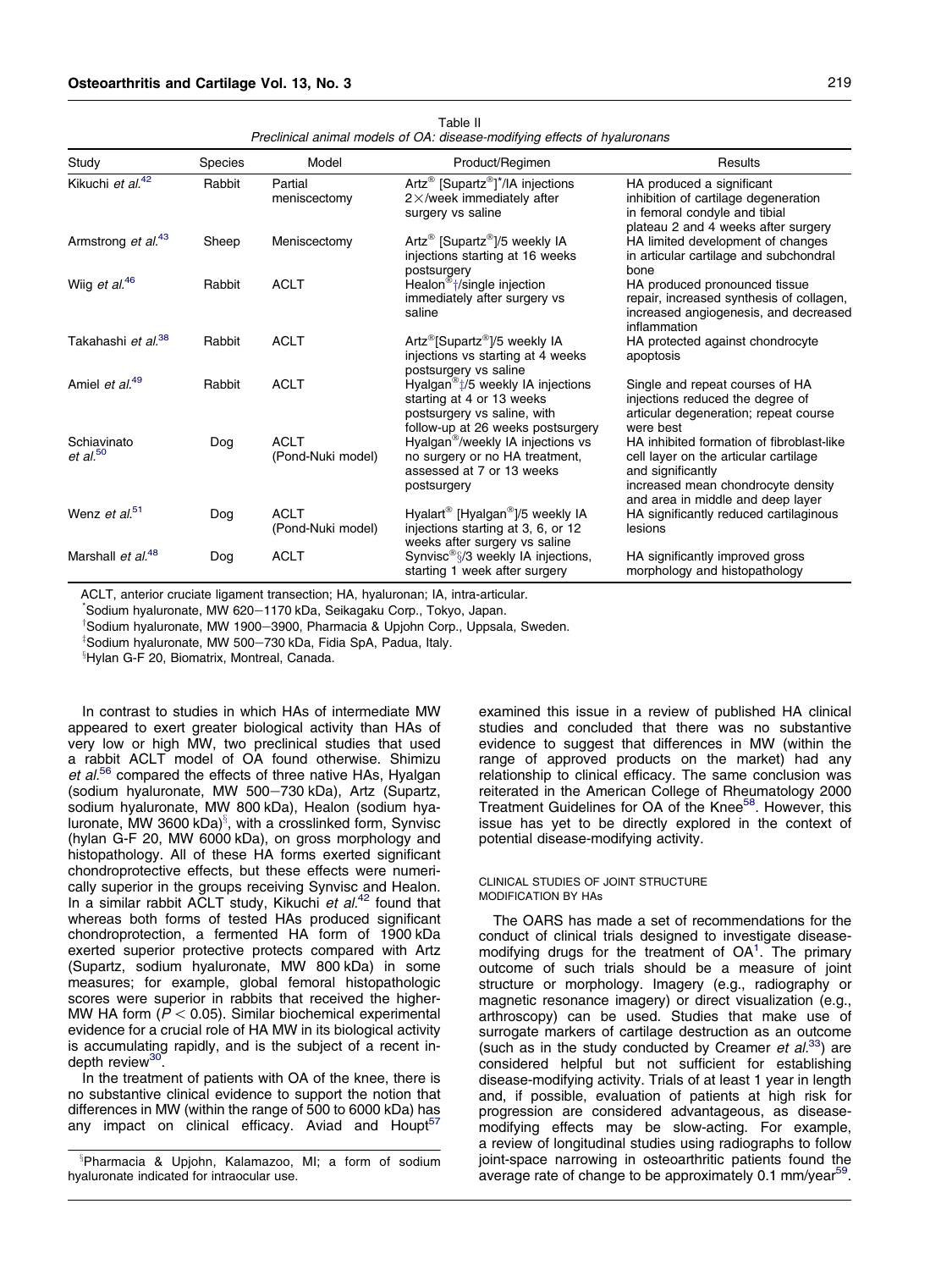<span id="page-3-0"></span>

| Study                             | <b>Species</b> | Model                            | Product/Regimen                                                                                                                                                    | Results                                                                                                                                                                            |
|-----------------------------------|----------------|----------------------------------|--------------------------------------------------------------------------------------------------------------------------------------------------------------------|------------------------------------------------------------------------------------------------------------------------------------------------------------------------------------|
| Kikuchi et al. <sup>42</sup>      | Rabbit         | Partial<br>meniscectomy          | Artz <sup>®</sup> [Supartz <sup>®</sup> ] <sup>*</sup> /IA injections<br>$2 \times$ /week immediately after<br>surgery vs saline                                   | HA produced a significant<br>inhibition of cartilage degeneration<br>in femoral condyle and tibial<br>plateau 2 and 4 weeks after surgery                                          |
| Armstrong et al. <sup>43</sup>    | Sheep          | Meniscectomy                     | Artz <sup>®</sup> [Supartz <sup>®</sup> ]/5 weekly IA<br>injections starting at 16 weeks<br>postsurgery                                                            | HA limited development of changes<br>in articular cartilage and subchondral<br>bone                                                                                                |
| Wiig et $al^{46}$                 | Rabbit         | <b>ACLT</b>                      | Healon <sup>®</sup> †/single injection<br>immediately after surgery vs<br>saline                                                                                   | HA produced pronounced tissue<br>repair, increased synthesis of collagen,<br>increased angiogenesis, and decreased<br>inflammation                                                 |
| Takahashi et al. <sup>38</sup>    | Rabbit         | <b>ACLT</b>                      | Artz <sup>®</sup> [Supartz <sup>®</sup> ]/5 weekly IA<br>injections vs starting at 4 weeks<br>postsurgery vs saline                                                | HA protected against chondrocyte<br>apoptosis                                                                                                                                      |
| Amiel <i>et al.</i> <sup>49</sup> | Rabbit         | <b>ACLT</b>                      | Hyalgan <sup>®<math>\ddagger</math></sup> /5 weekly IA injections<br>starting at 4 or 13 weeks<br>postsurgery vs saline, with<br>follow-up at 26 weeks postsurgery | Single and repeat courses of HA<br>injections reduced the degree of<br>articular degeneration; repeat course<br>were best                                                          |
| Schiavinato<br>$et$ al. $50$      | Dog            | <b>ACLT</b><br>(Pond-Nuki model) | Hyalgan <sup>®</sup> /weekly IA injections vs<br>no surgery or no HA treatment,<br>assessed at 7 or 13 weeks<br>postsurgery                                        | HA inhibited formation of fibroblast-like<br>cell layer on the articular cartilage<br>and significantly<br>increased mean chondrocyte density<br>and area in middle and deep layer |
| Wenz et al. <sup>51</sup>         | Dog            | <b>ACLT</b><br>(Pond-Nuki model) | Hyalart <sup>®</sup> [Hyalgan <sup>®</sup> ]/5 weekly IA<br>injections starting at 3, 6, or 12<br>weeks after surgery vs saline                                    | HA significantly reduced cartilaginous<br>lesions                                                                                                                                  |
| Marshall et al. <sup>48</sup>     | Dog            | <b>ACLT</b>                      | Synvisc <sup>®</sup> §/3 weekly IA injections,<br>starting 1 week after surgery                                                                                    | HA significantly improved gross<br>morphology and histopathology                                                                                                                   |

Table II Preclinical animal models of OA: disease-modifying effects of hyaluronans

ACLT, anterior cruciate ligament transection; HA, hyaluronan; IA, intra-articular.

\*Sodium hyaluronate, MW 620-1170 kDa, Seikagaku Corp., Tokyo, Japan.

<sup>†</sup>Sodium hyaluronate, MW 1900-3900, Pharmacia & Upjohn Corp., Uppsala, Sweden.

<sup>‡</sup>Sodium hyaluronate, MW 500-730 kDa, Fidia SpA, Padua, Italy.

<sup>§</sup>Hylan G-F 20, Biomatrix, Montreal, Canada.

In contrast to studies in which HAs of intermediate MW appeared to exert greater biological activity than HAs of very low or high MW, two preclinical studies that used a rabbit ACLT model of OA found otherwise. Shimizu et al.<sup>[56](#page-7-0)</sup> compared the effects of three native HAs, Hyalgan (sodium hyaluronate, MW 500-730 kDa), Artz (Supartz, sodium hyaluronate, MW 800 kDa), Healon (sodium hyaluronate, MW 3600 kDa)<sup>§</sup>, with a crosslinked form, Synvisc (hylan G-F 20, MW 6000 kDa), on gross morphology and histopathology. All of these HA forms exerted significant chondroprotective effects, but these effects were numerically superior in the groups receiving Synvisc and Healon. In a similar rabbit ACLT study, Kikuchi et  $al^{12}$  found that whereas both forms of tested HAs produced significant chondroprotection, a fermented HA form of 1900 kDa exerted superior protective protects compared with Artz (Supartz, sodium hyaluronate, MW 800 kDa) in some measures; for example, global femoral histopathologic scores were superior in rabbits that received the higher-MW HA form  $(P < 0.05)$ . Similar biochemical experimental evidence for a crucial role of HA MW in its biological activity is accumulating rapidly, and is the subject of a recent indepth review<sup>30</sup>

In the treatment of patients with OA of the knee, there is no substantive clinical evidence to support the notion that differences in MW (within the range of 500 to 6000 kDa) has any impact on clinical efficacy. Aviad and Houpt<sup>[57](#page-7-0)</sup>

examined this issue in a review of published HA clinical studies and concluded that there was no substantive evidence to suggest that differences in MW (within the range of approved products on the market) had any relationship to clinical efficacy. The same conclusion was reiterated in the American College of Rheumatology 2000 Treatment Guidelines for OA of the Knee<sup>58</sup>. However, this issue has yet to be directly explored in the context of potential disease-modifying activity.

#### CLINICAL STUDIES OF JOINT STRUCTURE MODIFICATION BY HAs

The OARS has made a set of recommendations for the conduct of clinical trials designed to investigate disease-modifying drugs for the treatment of O[A1](#page-6-0). The primary outcome of such trials should be a measure of joint structure or morphology. Imagery (e.g., radiography or magnetic resonance imagery) or direct visualization (e.g., arthroscopy) can be used. Studies that make use of surrogate markers of cartilage destruction as an outcome (such as in the study conducted by Creamer et  $al^{33}$  $al^{33}$  $al^{33}$ ) are considered helpful but not sufficient for establishing disease-modifying activity. Trials of at least 1 year in length and, if possible, evaluation of patients at high risk for progression are considered advantageous, as diseasemodifying effects may be slow-acting. For example, a review of longitudinal studies using radiographs to follow joint-space narrowing in osteoarthritic patients found the average rate of change to be approximately 0.1 mm/year<sup>[59](#page-7-0)</sup>.

<sup>&</sup>lt;sup>§</sup>Pharmacia & Upjohn, Kalamazoo, MI; a form of sodium hyaluronate indicated for intraocular use.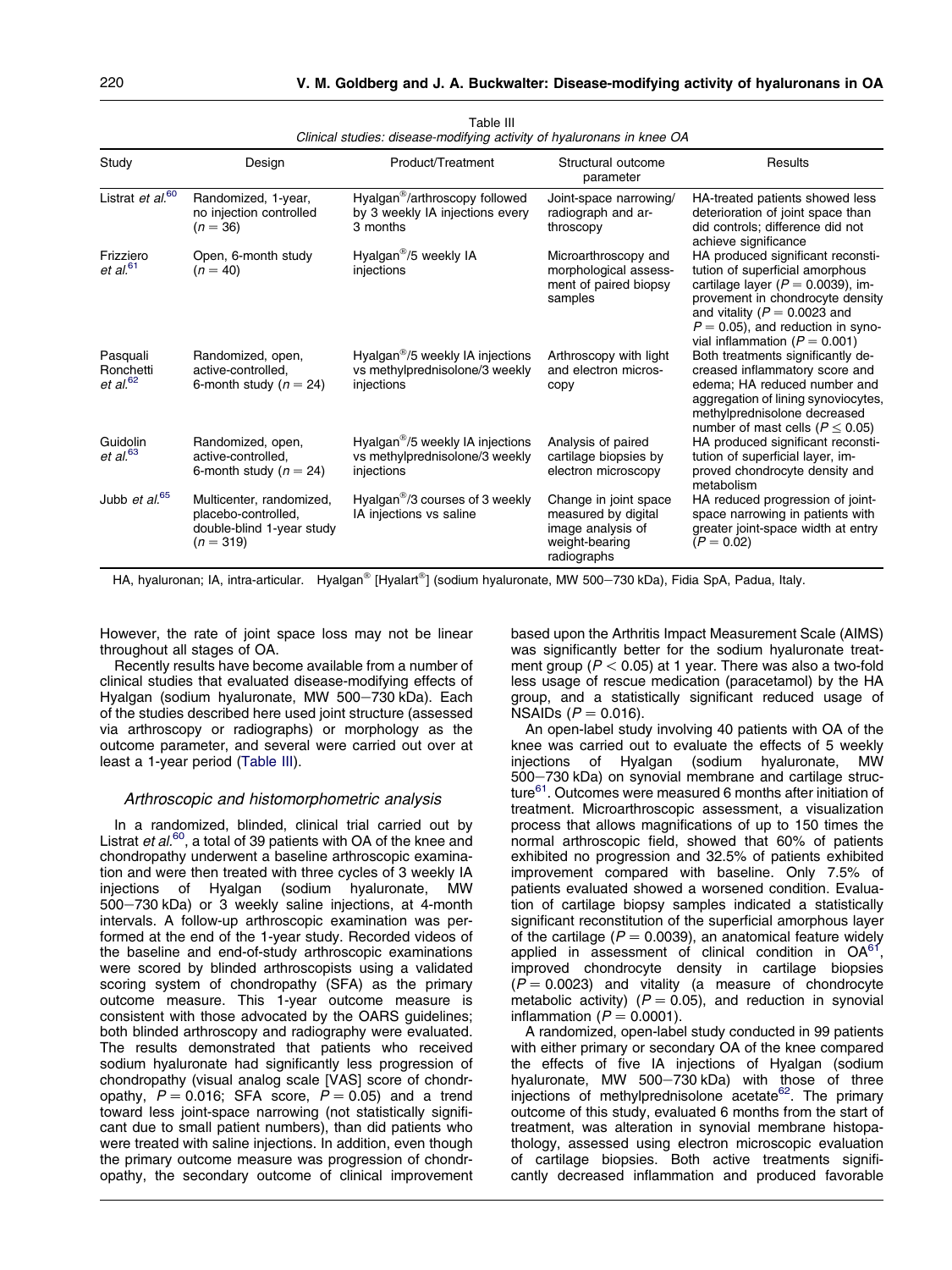|                                        |                                                                                             | Clinical studies: disease-modifying activity of hyaluronans in knee OA                       |                                                                                                    |                                                                                                                                                                                                                                                                  |
|----------------------------------------|---------------------------------------------------------------------------------------------|----------------------------------------------------------------------------------------------|----------------------------------------------------------------------------------------------------|------------------------------------------------------------------------------------------------------------------------------------------------------------------------------------------------------------------------------------------------------------------|
| Study                                  | Design                                                                                      | Product/Treatment                                                                            | Structural outcome<br>parameter                                                                    | Results                                                                                                                                                                                                                                                          |
| Listrat et al. <sup>60</sup>           | Randomized, 1-year,<br>no injection controlled<br>$(n = 36)$                                | Hyalgan <sup>®</sup> /arthroscopy followed<br>by 3 weekly IA injections every<br>3 months    | Joint-space narrowing/<br>radiograph and ar-<br>throscopy                                          | HA-treated patients showed less<br>deterioration of joint space than<br>did controls; difference did not<br>achieve significance                                                                                                                                 |
| Frizziero<br>et al. <sup>61</sup>      | Open, 6-month study<br>$(n = 40)$                                                           | Hyalgan <sup>®</sup> /5 weekly IA<br>injections                                              | Microarthroscopy and<br>morphological assess-<br>ment of paired biopsy<br>samples                  | HA produced significant reconsti-<br>tution of superficial amorphous<br>cartilage layer ( $P = 0.0039$ ), im-<br>provement in chondrocyte density<br>and vitality ( $P = 0.0023$ and<br>$P = 0.05$ , and reduction in syno-<br>vial inflammation ( $P = 0.001$ ) |
| Pasquali<br>Ronchetti<br>$et$ al. $62$ | Randomized, open,<br>active-controlled,<br>6-month study ( $n = 24$ )                       | Hyalgan <sup>®</sup> /5 weekly IA injections<br>vs methylprednisolone/3 weekly<br>injections | Arthroscopy with light<br>and electron micros-<br>copy                                             | Both treatments significantly de-<br>creased inflammatory score and<br>edema; HA reduced number and<br>aggregation of lining synoviocytes,<br>methylprednisolone decreased<br>number of mast cells ( $P \le 0.05$ )                                              |
| Guidolin<br>$et$ al. $63$              | Randomized, open,<br>active-controlled.<br>6-month study ( $n = 24$ )                       | Hyalgan <sup>®</sup> /5 weekly IA injections<br>vs methylprednisolone/3 weekly<br>injections | Analysis of paired<br>cartilage biopsies by<br>electron microscopy                                 | HA produced significant reconsti-<br>tution of superficial layer, im-<br>proved chondrocyte density and<br>metabolism                                                                                                                                            |
| Jubb <i>et al.</i> <sup>65</sup>       | Multicenter, randomized,<br>placebo-controlled,<br>double-blind 1-year study<br>$(n = 319)$ | Hyalgan <sup>®</sup> /3 courses of 3 weekly<br>IA injections vs saline                       | Change in joint space<br>measured by digital<br>image analysis of<br>weight-bearing<br>radiographs | HA reduced progression of joint-<br>space narrowing in patients with<br>greater joint-space width at entry<br>$(P = 0.02)$                                                                                                                                       |

| Table III                                                              |
|------------------------------------------------------------------------|
| Clinical studies: disease-modifying activity of hyaluronans in knee OA |

HA, hyaluronan; IA, intra-articular. Hyalgan® [Hyalart®] (sodium hyaluronate, MW 500-730 kDa), Fidia SpA, Padua, Italy.

However, the rate of joint space loss may not be linear throughout all stages of OA.

Recently results have become available from a number of clinical studies that evaluated disease-modifying effects of Hyalgan (sodium hyaluronate, MW 500-730 kDa). Each of the studies described here used joint structure (assessed via arthroscopy or radiographs) or morphology as the outcome parameter, and several were carried out over at least a 1-year period (Table III).

## Arthroscopic and histomorphometric analysis

In a randomized, blinded, clinical trial carried out by Listrat et  $al^{60}$  $al^{60}$  $al^{60}$ , a total of 39 patients with OA of the knee and chondropathy underwent a baseline arthroscopic examination and were then treated with three cycles of 3 weekly IA injections of Hyalgan (sodium hyaluronate, MW 500–730 kDa) or 3 weekly saline injections, at 4-month intervals. A follow-up arthroscopic examination was performed at the end of the 1-year study. Recorded videos of the baseline and end-of-study arthroscopic examinations were scored by blinded arthroscopists using a validated scoring system of chondropathy (SFA) as the primary outcome measure. This 1-year outcome measure is consistent with those advocated by the OARS guidelines; both blinded arthroscopy and radiography were evaluated. The results demonstrated that patients who received sodium hyaluronate had significantly less progression of chondropathy (visual analog scale [VAS] score of chondropathy,  $P = 0.016$ ; SFA score,  $P = 0.05$ ) and a trend toward less joint-space narrowing (not statistically significant due to small patient numbers), than did patients who were treated with saline injections. In addition, even though the primary outcome measure was progression of chondropathy, the secondary outcome of clinical improvement based upon the Arthritis Impact Measurement Scale (AIMS) was significantly better for the sodium hyaluronate treatment group ( $P < 0.05$ ) at 1 year. There was also a two-fold less usage of rescue medication (paracetamol) by the HA group, and a statistically significant reduced usage of NSAIDs ( $P = 0.016$ ).

An open-label study involving 40 patients with OA of the knee was carried out to evaluate the effects of 5 weekly injections of Hyalgan (sodium hyaluronate, MW 500-730 kDa) on synovial membrane and cartilage struc-ture<sup>[61](#page-7-0)</sup>. Outcomes were measured 6 months after initiation of treatment. Microarthroscopic assessment, a visualization process that allows magnifications of up to 150 times the normal arthroscopic field, showed that 60% of patients exhibited no progression and 32.5% of patients exhibited improvement compared with baseline. Only 7.5% of patients evaluated showed a worsened condition. Evaluation of cartilage biopsy samples indicated a statistically significant reconstitution of the superficial amorphous layer of the cartilage ( $P = 0.0039$ ), an anatomical feature widely applied in assessment of clinical condition in  $OA^{61}$  $OA^{61}$  $OA^{61}$ . improved chondrocyte density in cartilage biopsies  $(P = 0.0023)$  and vitality (a measure of chondrocyte metabolic activity) ( $P = 0.05$ ), and reduction in synovial inflammation ( $P = 0.0001$ ).

A randomized, open-label study conducted in 99 patients with either primary or secondary OA of the knee compared the effects of five IA injections of Hyalgan (sodium hyaluronate, MW 500 $-730$  kDa) with those of three injections of methylprednisolone acetate  $62$ . The primary outcome of this study, evaluated 6 months from the start of treatment, was alteration in synovial membrane histopathology, assessed using electron microscopic evaluation of cartilage biopsies. Both active treatments significantly decreased inflammation and produced favorable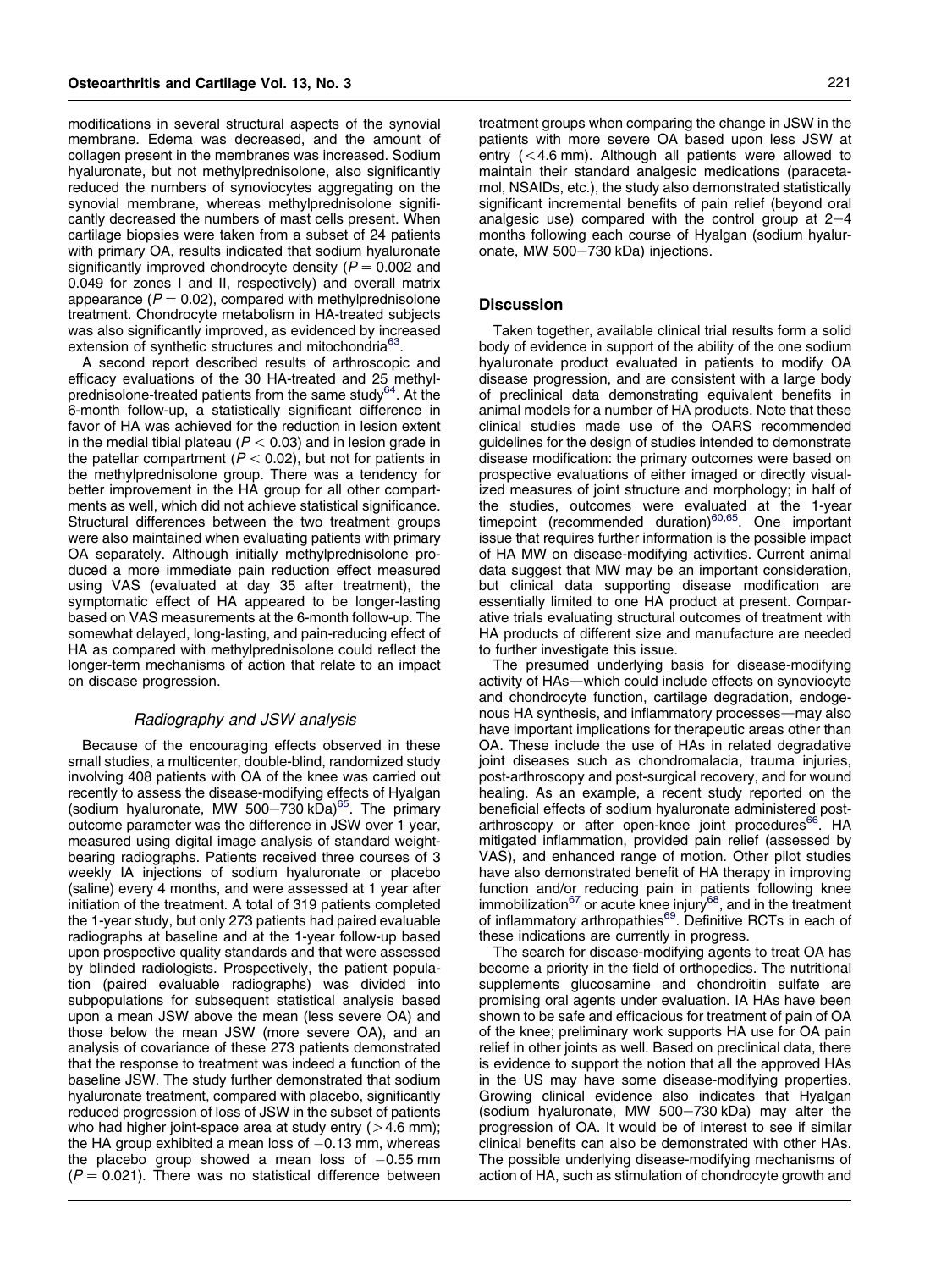modifications in several structural aspects of the synovial membrane. Edema was decreased, and the amount of collagen present in the membranes was increased. Sodium hyaluronate, but not methylprednisolone, also significantly reduced the numbers of synoviocytes aggregating on the synovial membrane, whereas methylprednisolone significantly decreased the numbers of mast cells present. When cartilage biopsies were taken from a subset of 24 patients with primary OA, results indicated that sodium hyaluronate significantly improved chondrocyte density ( $P = 0.002$  and 0.049 for zones I and II, respectively) and overall matrix appearance ( $P = 0.02$ ), compared with methylprednisolone treatment. Chondrocyte metabolism in HA-treated subjects was also significantly improved, as evidenced by increased extension of synthetic structures and mitochondria<sup>[63](#page-8-0)</sup>.

A second report described results of arthroscopic and efficacy evaluations of the 30 HA-treated and 25 methylprednisolone-treated patients from the same study $^{64}$ . At the 6-month follow-up, a statistically significant difference in favor of HA was achieved for the reduction in lesion extent in the medial tibial plateau ( $P < 0.03$ ) and in lesion grade in the patellar compartment ( $P < 0.02$ ), but not for patients in the methylprednisolone group. There was a tendency for better improvement in the HA group for all other compartments as well, which did not achieve statistical significance. Structural differences between the two treatment groups were also maintained when evaluating patients with primary OA separately. Although initially methylprednisolone produced a more immediate pain reduction effect measured using VAS (evaluated at day 35 after treatment), the symptomatic effect of HA appeared to be longer-lasting based on VAS measurements at the 6-month follow-up. The somewhat delayed, long-lasting, and pain-reducing effect of HA as compared with methylprednisolone could reflect the longer-term mechanisms of action that relate to an impact on disease progression.

### Radiography and JSW analysis

Because of the encouraging effects observed in these small studies, a multicenter, double-blind, randomized study involving 408 patients with OA of the knee was carried out recently to assess the disease-modifying effects of Hyalgan (sodium hyaluronate, MW 500-730 kDa) $^{65}$  $^{65}$  $^{65}$ . The primary outcome parameter was the difference in JSW over 1 year, measured using digital image analysis of standard weightbearing radiographs. Patients received three courses of 3 weekly IA injections of sodium hyaluronate or placebo (saline) every 4 months, and were assessed at 1 year after initiation of the treatment. A total of 319 patients completed the 1-year study, but only 273 patients had paired evaluable radiographs at baseline and at the 1-year follow-up based upon prospective quality standards and that were assessed by blinded radiologists. Prospectively, the patient population (paired evaluable radiographs) was divided into subpopulations for subsequent statistical analysis based upon a mean JSW above the mean (less severe OA) and those below the mean JSW (more severe OA), and an analysis of covariance of these 273 patients demonstrated that the response to treatment was indeed a function of the baseline JSW. The study further demonstrated that sodium hyaluronate treatment, compared with placebo, significantly reduced progression of loss of JSW in the subset of patients who had higher joint-space area at study entry  $(>4.6$  mm); the HA group exhibited a mean loss of  $-0.13$  mm, whereas the placebo group showed a mean loss of  $-0.55$ mm  $(P = 0.021)$ . There was no statistical difference between

treatment groups when comparing the change in JSW in the patients with more severe OA based upon less JSW at entry  $( $4.6 \text{ mm}$ ). Although all patients were allowed to$ maintain their standard analgesic medications (paracetamol, NSAIDs, etc.), the study also demonstrated statistically significant incremental benefits of pain relief (beyond oral analgesic use) compared with the control group at  $2-4$ months following each course of Hyalgan (sodium hyaluronate, MW 500-730 kDa) injections.

## **Discussion**

Taken together, available clinical trial results form a solid body of evidence in support of the ability of the one sodium hyaluronate product evaluated in patients to modify OA disease progression, and are consistent with a large body of preclinical data demonstrating equivalent benefits in animal models for a number of HA products. Note that these clinical studies made use of the OARS recommended guidelines for the design of studies intended to demonstrate disease modification: the primary outcomes were based on prospective evaluations of either imaged or directly visualized measures of joint structure and morphology; in half of the studies, outcomes were evaluated at the 1-year timepoint (recommended duration)[60,65.](#page-7-0) One important issue that requires further information is the possible impact of HA MW on disease-modifying activities. Current animal data suggest that MW may be an important consideration, but clinical data supporting disease modification are essentially limited to one HA product at present. Comparative trials evaluating structural outcomes of treatment with HA products of different size and manufacture are needed to further investigate this issue.

The presumed underlying basis for disease-modifying activity of HAs-which could include effects on synoviocyte and chondrocyte function, cartilage degradation, endogenous HA synthesis, and inflammatory processes—may also have important implications for therapeutic areas other than OA. These include the use of HAs in related degradative joint diseases such as chondromalacia, trauma injuries, post-arthroscopy and post-surgical recovery, and for wound healing. As an example, a recent study reported on the beneficial effects of sodium hyaluronate administered postarthroscopy or after open-knee joint procedures<sup>66</sup>. HA mitigated inflammation, provided pain relief (assessed by VAS), and enhanced range of motion. Other pilot studies have also demonstrated benefit of HA therapy in improving function and/or reducing pain in patients following knee<br>immobilization<sup>[67](#page-8-0)</sup> or acute knee injury<sup>68</sup>, and in the treatment of inflammatory arthropathies<sup>69</sup>. Definitive RCTs in each of these indications are currently in progress.

The search for disease-modifying agents to treat OA has become a priority in the field of orthopedics. The nutritional supplements glucosamine and chondroitin sulfate are promising oral agents under evaluation. IA HAs have been shown to be safe and efficacious for treatment of pain of OA of the knee; preliminary work supports HA use for OA pain relief in other joints as well. Based on preclinical data, there is evidence to support the notion that all the approved HAs in the US may have some disease-modifying properties. Growing clinical evidence also indicates that Hyalgan (sodium hyaluronate, MW  $500-730$  kDa) may alter the progression of OA. It would be of interest to see if similar clinical benefits can also be demonstrated with other HAs. The possible underlying disease-modifying mechanisms of action of HA, such as stimulation of chondrocyte growth and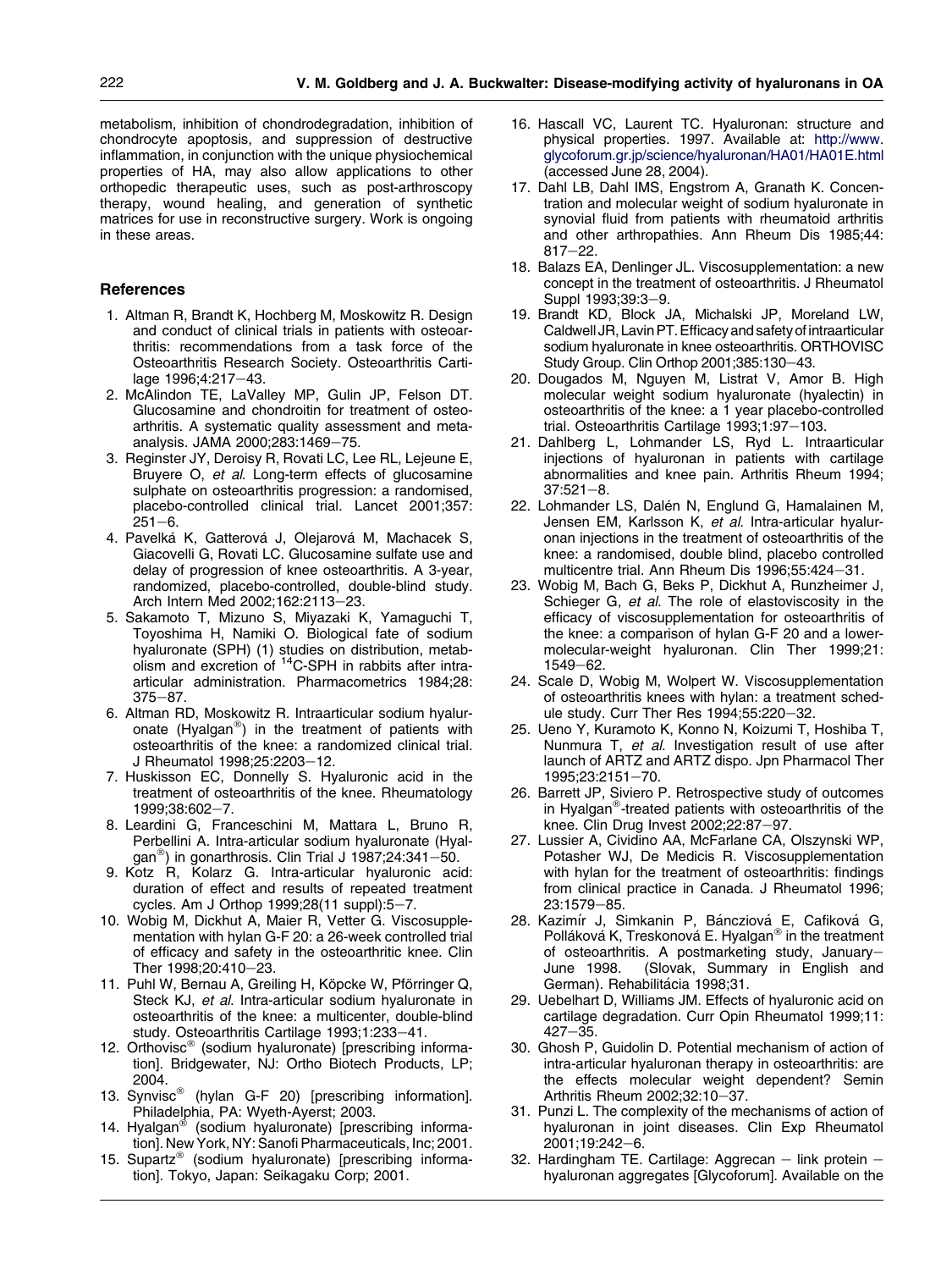<span id="page-6-0"></span>metabolism, inhibition of chondrodegradation, inhibition of chondrocyte apoptosis, and suppression of destructive inflammation, in conjunction with the unique physiochemical properties of HA, may also allow applications to other orthopedic therapeutic uses, such as post-arthroscopy therapy, wound healing, and generation of synthetic matrices for use in reconstructive surgery. Work is ongoing in these areas.

# **References**

- 1. Altman R, Brandt K, Hochberg M, Moskowitz R. Design and conduct of clinical trials in patients with osteoarthritis: recommendations from a task force of the Osteoarthritis Research Society. Osteoarthritis Cartilage 1996;4:217-43.
- 2. McAlindon TE, LaValley MP, Gulin JP, Felson DT. Glucosamine and chondroitin for treatment of osteoarthritis. A systematic quality assessment and metaanalysis. JAMA 2000;283:1469-75.
- 3. Reginster JY, Deroisy R, Rovati LC, Lee RL, Lejeune E, Bruyere O, et al. Long-term effects of glucosamine sulphate on osteoarthritis progression: a randomised, placebo-controlled clinical trial. Lancet 2001;357:  $251 - 6$ .
- 4. Pavelká K, Gatterová J, Olejarová M, Machacek S, Giacovelli G, Rovati LC. Glucosamine sulfate use and delay of progression of knee osteoarthritis. A 3-year, randomized, placebo-controlled, double-blind study. Arch Intern Med 2002;162:2113-23.
- 5. Sakamoto T, Mizuno S, Miyazaki K, Yamaguchi T, Toyoshima H, Namiki O. Biological fate of sodium hyaluronate (SPH) (1) studies on distribution, metabolism and excretion of 14C-SPH in rabbits after intraarticular administration. Pharmacometrics 1984;28:  $375 - 87$
- 6. Altman RD, Moskowitz R. Intraarticular sodium hyaluronate (Hyalgan<sup>®</sup>) in the treatment of patients with osteoarthritis of the knee: a randomized clinical trial. J Rheumatol 1998;25:2203-12.
- 7. Huskisson EC, Donnelly S. Hyaluronic acid in the treatment of osteoarthritis of the knee. Rheumatology 1999;38:602-7.
- 8. Leardini G, Franceschini M, Mattara L, Bruno R, Perbellini A. Intra-articular sodium hyaluronate (Hyalgan®) in gonarthrosis. Clin Trial J 1987;24:341-50.
- 9. Kotz R, Kolarz G. Intra-articular hyaluronic acid: duration of effect and results of repeated treatment cycles. Am J Orthop  $1999;28(11 \text{ supp})$ :5-7.
- 10. Wobig M, Dickhut A, Maier R, Vetter G. Viscosupplementation with hylan G-F 20: a 26-week controlled trial of efficacy and safety in the osteoarthritic knee. Clin Ther 1998;20:410-23.
- 11. Puhl W, Bernau A, Greiling H, Köpcke W, Pförringer Q, Steck KJ, et al. Intra-articular sodium hyaluronate in osteoarthritis of the knee: a multicenter, double-blind study. Osteoarthritis Cartilage 1993;1:233-41.
- 12. Orthovisc<sup>®</sup> (sodium hyaluronate) [prescribing information]. Bridgewater, NJ: Ortho Biotech Products, LP; 2004.
- 13. Synvisc<sup>®</sup> (hylan G-F 20) [prescribing information]. Philadelphia, PA: Wyeth-Ayerst; 2003.
- 14. Hyalgan<sup>®</sup> (sodium hyaluronate) [prescribing information]. New York, NY: Sanofi Pharmaceuticals, Inc; 2001.
- 15. Supartz<sup>®</sup> (sodium hyaluronate) [prescribing information]. Tokyo, Japan: Seikagaku Corp; 2001.
- 16. Hascall VC, Laurent TC. Hyaluronan: structure and physical properties. 1997. Available at: [http://www.](http://www.glycoforum.gr.jp/science/hyaluronan/HA01/HA01E.html) [glycoforum.gr.jp/science/hyaluronan/HA01/HA01E.html](http://www.glycoforum.gr.jp/science/hyaluronan/HA01/HA01E.html) (accessed June 28, 2004).
- 17. Dahl LB, Dahl IMS, Engstrom A, Granath K. Concentration and molecular weight of sodium hyaluronate in synovial fluid from patients with rheumatoid arthritis and other arthropathies. Ann Rheum Dis 1985;44:  $817 - 22$ .
- 18. Balazs EA, Denlinger JL. Viscosupplementation: a new concept in the treatment of osteoarthritis. J Rheumatol Suppl 1993;39:3-9.
- 19. Brandt KD, Block JA, Michalski JP, Moreland LW, Caldwell JR, LavinPT. Efficacy and safety of intraarticular sodium hyaluronate in knee osteoarthritis. ORTHOVISC Study Group. Clin Orthop 2001;385:130-43.
- 20. Dougados M, Nguyen M, Listrat V, Amor B. High molecular weight sodium hyaluronate (hyalectin) in osteoarthritis of the knee: a 1 year placebo-controlled trial. Osteoarthritis Cartilage 1993;1:97-103.
- 21. Dahlberg L, Lohmander LS, Ryd L. Intraarticular injections of hyaluronan in patients with cartilage abnormalities and knee pain. Arthritis Rheum 1994;  $37:521 - 8.$
- 22. Lohmander LS, Dalén N, Englund G, Hamalainen M, Jensen EM, Karlsson K, et al. Intra-articular hyaluronan injections in the treatment of osteoarthritis of the knee: a randomised, double blind, placebo controlled multicentre trial. Ann Rheum Dis  $1996:55:424-31$ .
- 23. Wobig M, Bach G, Beks P, Dickhut A, Runzheimer J, Schieger G, et al. The role of elastoviscosity in the efficacy of viscosupplementation for osteoarthritis of the knee: a comparison of hylan G-F 20 and a lowermolecular-weight hyaluronan. Clin Ther 1999;21:  $1549 - 62$
- 24. Scale D, Wobig M, Wolpert W. Viscosupplementation of osteoarthritis knees with hylan: a treatment schedule study. Curr Ther Res  $1994;55:220-32$ .
- 25. Ueno Y, Kuramoto K, Konno N, Koizumi T, Hoshiba T, Nunmura T, et al. Investigation result of use after launch of ARTZ and ARTZ dispo. Jpn Pharmacol Ther 1995;23:2151-70.
- 26. Barrett JP, Siviero P. Retrospective study of outcomes in Hyalgan $<sup>®</sup>$ -treated patients with osteoarthritis of the</sup> knee. Clin Drug Invest 2002;22:87-97.
- 27. Lussier A, Cividino AA, McFarlane CA, Olszynski WP, Potasher WJ, De Medicis R. Viscosupplementation with hylan for the treatment of osteoarthritis: findings from clinical practice in Canada. J Rheumatol 1996; 23:1579-85.
- 28. Kazimír J, Simkanin P, Báncziová E, Cafiková G, Polláková K, Treskonová E. Hyalgan<sup>®</sup> in the treatment of osteoarthritis. A postmarketing study, January-<br>June 1998. (Slovak. Summary in English and (Slovak, Summary in English and German). Rehabilitácia 1998;31.
- 29. Uebelhart D, Williams JM. Effects of hyaluronic acid on cartilage degradation. Curr Opin Rheumatol 1999;11:  $427 - 35$ .
- 30. Ghosh P, Guidolin D. Potential mechanism of action of intra-articular hyaluronan therapy in osteoarthritis: are the effects molecular weight dependent? Semin Arthritis Rheum 2002;32:10-37.
- 31. Punzi L. The complexity of the mechanisms of action of hyaluronan in joint diseases. Clin Exp Rheumatol  $2001;19:242-6.$
- 32. Hardingham TE. Cartilage: Aggrecan  $-$  link protein  $$ hyaluronan aggregates [Glycoforum]. Available on the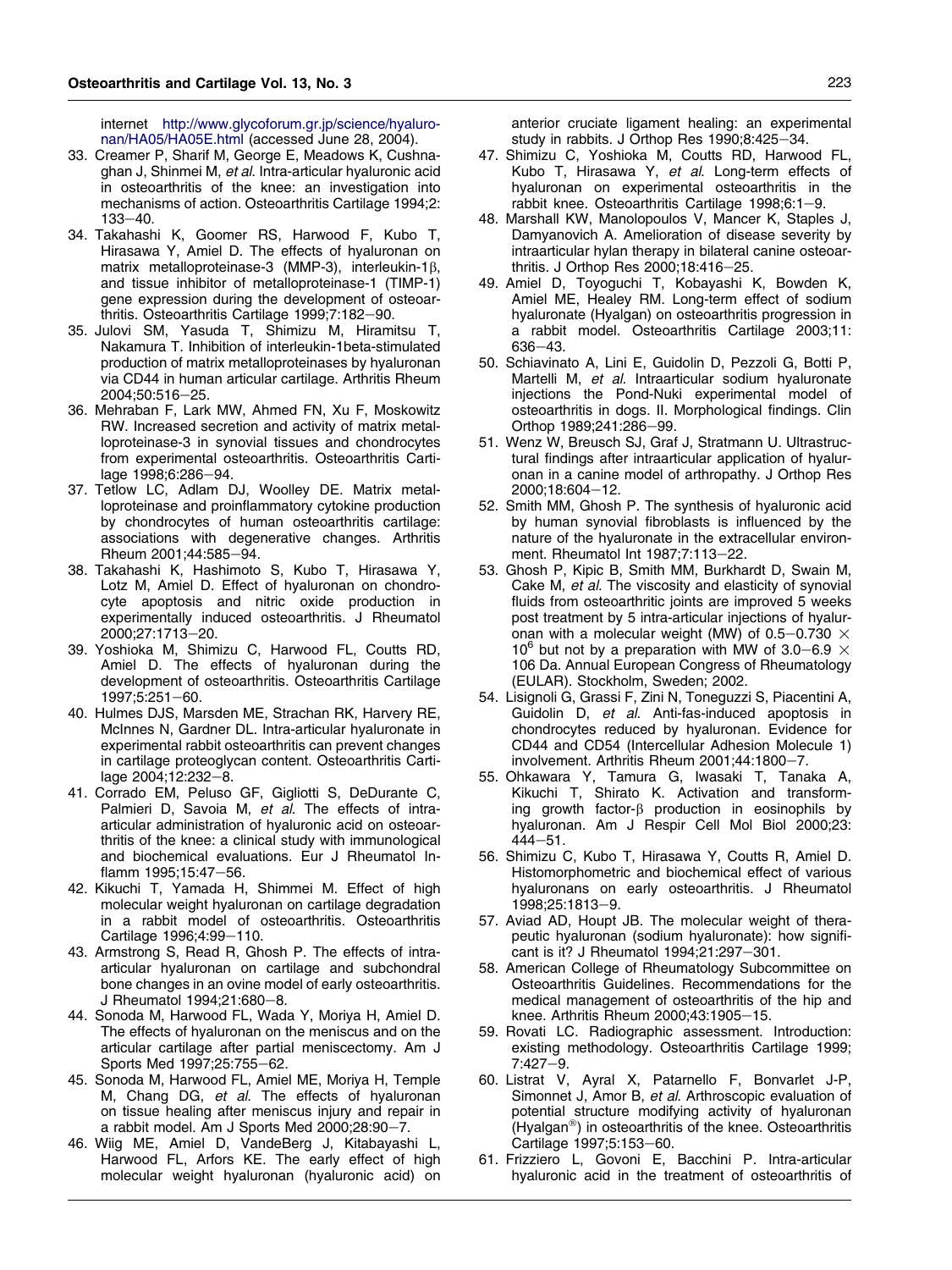<span id="page-7-0"></span>internet [http://www.glycoforum.gr.jp/science/hyaluro](http://www.glycoforum.gr.jp/science/hyaluronan/HA05/HA05E.html)[nan/HA05/HA05E.html](http://www.glycoforum.gr.jp/science/hyaluronan/HA05/HA05E.html) (accessed June 28, 2004).

- 33. Creamer P, Sharif M, George E, Meadows K, Cushnaghan J, Shinmei M, et al. Intra-articular hyaluronic acid in osteoarthritis of the knee: an investigation into mechanisms of action. Osteoarthritis Cartilage 1994;2:  $133 - 40.$
- 34. Takahashi K, Goomer RS, Harwood F, Kubo T, Hirasawa Y, Amiel D. The effects of hyaluronan on matrix metalloproteinase-3 (MMP-3), interleukin-1 $\beta$ , and tissue inhibitor of metalloproteinase-1 (TIMP-1) gene expression during the development of osteoarthritis. Osteoarthritis Cartilage 1999;7:182-90.
- 35. Julovi SM, Yasuda T, Shimizu M, Hiramitsu T, Nakamura T. Inhibition of interleukin-1beta-stimulated production of matrix metalloproteinases by hyaluronan via CD44 in human articular cartilage. Arthritis Rheum 2004;50:516-25.
- 36. Mehraban F, Lark MW, Ahmed FN, Xu F, Moskowitz RW. Increased secretion and activity of matrix metalloproteinase-3 in synovial tissues and chondrocytes from experimental osteoarthritis. Osteoarthritis Carti $laae$  1998:6:286-94.
- 37. Tetlow LC, Adlam DJ, Woolley DE. Matrix metalloproteinase and proinflammatory cytokine production by chondrocytes of human osteoarthritis cartilage: associations with degenerative changes. Arthritis Rheum 2001;44:585-94.
- 38. Takahashi K, Hashimoto S, Kubo T, Hirasawa Y, Lotz M, Amiel D. Effect of hyaluronan on chondrocyte apoptosis and nitric oxide production in experimentally induced osteoarthritis. J Rheumatol 2000;27:1713-20.
- 39. Yoshioka M, Shimizu C, Harwood FL, Coutts RD, Amiel D. The effects of hyaluronan during the development of osteoarthritis. Osteoarthritis Cartilage  $1997:5:251-60.$
- 40. Hulmes DJS, Marsden ME, Strachan RK, Harvery RE, McInnes N, Gardner DL. Intra-articular hyaluronate in experimental rabbit osteoarthritis can prevent changes in cartilage proteoglycan content. Osteoarthritis Carti $l$ age 2004;12:232-8.
- 41. Corrado EM, Peluso GF, Gigliotti S, DeDurante C, Palmieri D, Savoia M, et al. The effects of intraarticular administration of hyaluronic acid on osteoarthritis of the knee: a clinical study with immunological and biochemical evaluations. Eur J Rheumatol Inflamm 1995;15:47-56.
- 42. Kikuchi T, Yamada H, Shimmei M. Effect of high molecular weight hyaluronan on cartilage degradation in a rabbit model of osteoarthritis. Osteoarthritis Cartilage 1996;4:99-110.
- 43. Armstrong S, Read R, Ghosh P. The effects of intraarticular hyaluronan on cartilage and subchondral bone changes in an ovine model of early osteoarthritis. J Rheumatol 1994;21:680-8.
- 44. Sonoda M, Harwood FL, Wada Y, Moriya H, Amiel D. The effects of hyaluronan on the meniscus and on the articular cartilage after partial meniscectomy. Am J Sports Med 1997;25:755-62.
- 45. Sonoda M, Harwood FL, Amiel ME, Moriya H, Temple M, Chang DG, et al. The effects of hyaluronan on tissue healing after meniscus injury and repair in a rabbit model. Am J Sports Med  $2000;28:90-7$ .
- 46. Wiig ME, Amiel D, VandeBerg J, Kitabayashi L, Harwood FL, Arfors KE. The early effect of high molecular weight hyaluronan (hyaluronic acid) on

anterior cruciate ligament healing: an experimental study in rabbits. J Orthop Res  $1990:8:425-34$ .

- 47. Shimizu C, Yoshioka M, Coutts RD, Harwood FL, Kubo T, Hirasawa Y, et al. Long-term effects of hyaluronan on experimental osteoarthritis in the rabbit knee. Osteoarthritis Cartilage  $1998;6:1-9$ .
- 48. Marshall KW, Manolopoulos V, Mancer K, Staples J, Damyanovich A. Amelioration of disease severity by intraarticular hylan therapy in bilateral canine osteoarthritis. J Orthop Res  $2000$ ; 18:416-25.
- 49. Amiel D, Toyoguchi T, Kobayashi K, Bowden K, Amiel ME, Healey RM. Long-term effect of sodium hyaluronate (Hyalgan) on osteoarthritis progression in a rabbit model. Osteoarthritis Cartilage 2003;11:  $636 - 43.$
- 50. Schiavinato A, Lini E, Guidolin D, Pezzoli G, Botti P, Martelli M, et al. Intraarticular sodium hyaluronate injections the Pond-Nuki experimental model of osteoarthritis in dogs. II. Morphological findings. Clin Orthop 1989;241:286-99.
- 51. Wenz W, Breusch SJ, Graf J, Stratmann U. Ultrastructural findings after intraarticular application of hyaluronan in a canine model of arthropathy. J Orthop Res 2000;18:604-12.
- 52. Smith MM, Ghosh P. The synthesis of hyaluronic acid by human synovial fibroblasts is influenced by the nature of the hyaluronate in the extracellular environment. Rheumatol Int 1987;7:113-22.
- 53. Ghosh P, Kipic B, Smith MM, Burkhardt D, Swain M, Cake M, et al. The viscosity and elasticity of synovial fluids from osteoarthritic joints are improved 5 weeks post treatment by 5 intra-articular injections of hyaluronan with a molecular weight (MW) of 0.5-0.730  $\times$ 10<sup>6</sup> but not by a preparation with MW of 3.0–6.9  $\times$ 106 Da. Annual European Congress of Rheumatology (EULAR). Stockholm, Sweden; 2002.
- 54. Lisignoli G, Grassi F, Zini N, Toneguzzi S, Piacentini A, Guidolin D, et al. Anti-fas-induced apoptosis in chondrocytes reduced by hyaluronan. Evidence for CD44 and CD54 (Intercellular Adhesion Molecule 1) involvement. Arthritis Rheum  $2001;44:1800 - 7$ .
- 55. Ohkawara Y, Tamura G, Iwasaki T, Tanaka A, Kikuchi T, Shirato K. Activation and transforming growth factor- $\beta$  production in eosinophils by hyaluronan. Am J Respir Cell Mol Biol 2000;23:  $444 - 51$ .
- 56. Shimizu C, Kubo T, Hirasawa Y, Coutts R, Amiel D. Histomorphometric and biochemical effect of various hyaluronans on early osteoarthritis. J Rheumatol 1998:25:1813-9.
- 57. Aviad AD, Houpt JB. The molecular weight of therapeutic hyaluronan (sodium hyaluronate): how significant is it? J Rheumatol  $1994:21:297-301$ .
- 58. American College of Rheumatology Subcommittee on Osteoarthritis Guidelines. Recommendations for the medical management of osteoarthritis of the hip and knee. Arthritis Rheum  $2000:43:1905-15$ .
- 59. Rovati LC. Radiographic assessment. Introduction: existing methodology. Osteoarthritis Cartilage 1999;  $7:427 - 9.$
- 60. Listrat V, Ayral X, Patarnello F, Bonvarlet J-P, Simonnet J, Amor B, et al. Arthroscopic evaluation of potential structure modifying activity of hyaluronan  $(Hyalgan^{\circledast})$  in osteoarthritis of the knee. Osteoarthritis Cartilage 1997;5:153-60.
- 61. Frizziero L, Govoni E, Bacchini P. Intra-articular hyaluronic acid in the treatment of osteoarthritis of